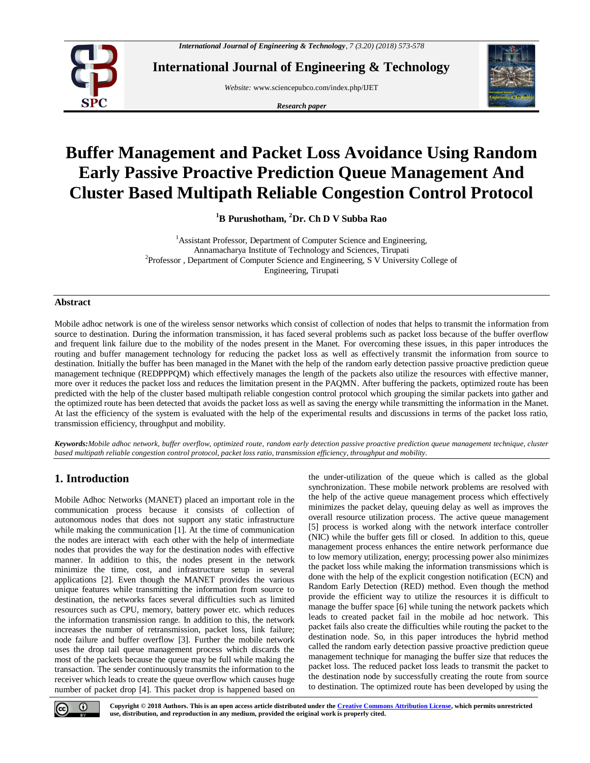

**International Journal of Engineering & Technology**

*Website:* www.sciencepubco.com/index.php/IJET

*Research paper*



# **Buffer Management and Packet Loss Avoidance Using Random Early Passive Proactive Prediction Queue Management And Cluster Based Multipath Reliable Congestion Control Protocol**

**<sup>1</sup>B Purushotham, <sup>2</sup>Dr. Ch D V Subba Rao**

<sup>1</sup> Assistant Professor, Department of Computer Science and Engineering, Annamacharya Institute of Technology and Sciences, Tirupati <sup>2</sup>Professor, Department of Computer Science and Engineering, S V University College of Engineering, Tirupati

## **Abstract**

Mobile adhoc network is one of the wireless sensor networks which consist of collection of nodes that helps to transmit the information from source to destination. During the information transmission, it has faced several problems such as packet loss because of the buffer overflow and frequent link failure due to the mobility of the nodes present in the Manet. For overcoming these issues, in this paper introduces the routing and buffer management technology for reducing the packet loss as well as effectively transmit the information from source to destination. Initially the buffer has been managed in the Manet with the help of the random early detection passive proactive prediction queue management technique (REDPPPQM) which effectively manages the length of the packets also utilize the resources with effective manner, more over it reduces the packet loss and reduces the limitation present in the PAQMN. After buffering the packets, optimized route has been predicted with the help of the cluster based multipath reliable congestion control protocol which grouping the similar packets into gather and the optimized route has been detected that avoids the packet loss as well as saving the energy while transmitting the information in the Manet. At last the efficiency of the system is evaluated with the help of the experimental results and discussions in terms of the packet loss ratio, transmission efficiency, throughput and mobility.

*Keywords:Mobile adhoc network, buffer overflow, optimized route, random early detection passive proactive prediction queue management technique, cluster based multipath reliable congestion control protocol, packet loss ratio, transmission efficiency, throughput and mobility.*

# **1. Introduction**

Mobile Adhoc Networks (MANET) placed an important role in the communication process because it consists of collection of autonomous nodes that does not support any static infrastructure while making the communication [1]. At the time of communication the nodes are interact with each other with the help of intermediate nodes that provides the way for the destination nodes with effective manner. In addition to this, the nodes present in the network minimize the time, cost, and infrastructure setup in several applications [2]. Even though the MANET provides the various unique features while transmitting the information from source to destination, the networks faces several difficulties such as limited resources such as CPU, memory, battery power etc. which reduces the information transmission range. In addition to this, the network increases the number of retransmission, packet loss, link failure; node failure and buffer overflow [3]. Further the mobile network uses the drop tail queue management process which discards the most of the packets because the queue may be full while making the transaction. The sender continuously transmits the information to the receiver which leads to create the queue overflow which causes huge number of packet drop [4]. This packet drop is happened based on

the under-utilization of the queue which is called as the global synchronization. These mobile network problems are resolved with the help of the active queue management process which effectively minimizes the packet delay, queuing delay as well as improves the overall resource utilization process. The active queue management [5] process is worked along with the network interface controller (NIC) while the buffer gets fill or closed. In addition to this, queue management process enhances the entire network performance due to low memory utilization, energy; processing power also minimizes the packet loss while making the information transmissions which is done with the help of the explicit congestion notification (ECN) and Random Early Detection (RED) method. Even though the method provide the efficient way to utilize the resources it is difficult to manage the buffer space [6] while tuning the network packets which leads to created packet fail in the mobile ad hoc network. This packet fails also create the difficulties while routing the packet to the destination node. So, in this paper introduces the hybrid method called the random early detection passive proactive prediction queue management technique for managing the buffer size that reduces the packet loss. The reduced packet loss leads to transmit the packet to the destination node by successfully creating the route from source to destination. The optimized route has been developed by using the



**Copyright © 2018 Authors. This is an open access article distributed under th[e Creative Commons Attribution License,](http://creativecommons.org/licenses/by/3.0/) which permits unrestricted use, distribution, and reproduction in any medium, provided the original work is properly cited.**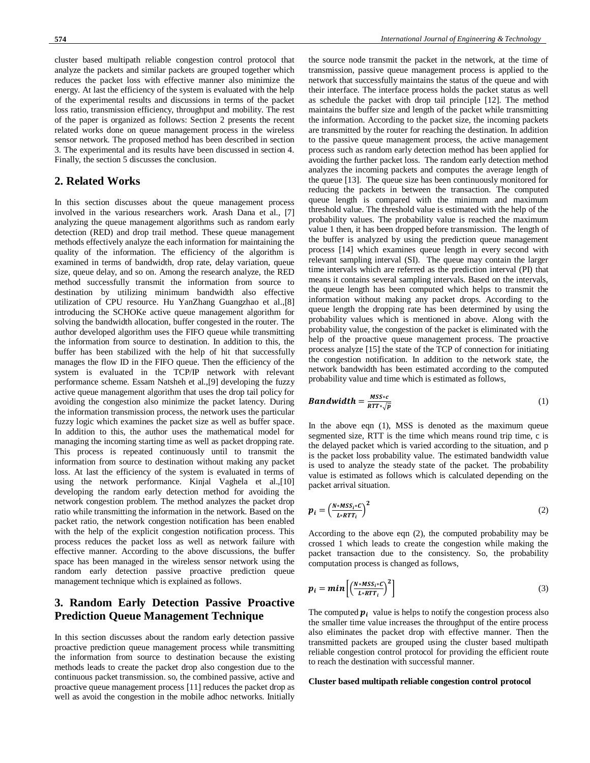cluster based multipath reliable congestion control protocol that analyze the packets and similar packets are grouped together which reduces the packet loss with effective manner also minimize the energy. At last the efficiency of the system is evaluated with the help of the experimental results and discussions in terms of the packet loss ratio, transmission efficiency, throughput and mobility. The rest of the paper is organized as follows: Section 2 presents the recent related works done on queue management process in the wireless sensor network. The proposed method has been described in section 3. The experimental and its results have been discussed in section 4. Finally, the section 5 discusses the conclusion.

## **2. Related Works**

In this section discusses about the queue management process involved in the various researchers work. Arash Dana et al., [7] analyzing the queue management algorithms such as random early detection (RED) and drop trail method. These queue management methods effectively analyze the each information for maintaining the quality of the information. The efficiency of the algorithm is examined in terms of bandwidth, drop rate, delay variation, queue size, queue delay, and so on. Among the research analyze, the RED method successfully transmit the information from source to destination by utilizing minimum bandwidth also effective utilization of CPU resource. Hu YanZhang Guangzhao et al.,[8] introducing the SCHOKe active queue management algorithm for solving the bandwidth allocation, buffer congested in the router. The author developed algorithm uses the FIFO queue while transmitting the information from source to destination. In addition to this, the buffer has been stabilized with the help of hit that successfully manages the flow ID in the FIFO queue. Then the efficiency of the system is evaluated in the TCP/IP network with relevant performance scheme. Essam Natsheh et al.,[9] developing the fuzzy active queue management algorithm that uses the drop tail policy for avoiding the congestion also minimize the packet latency. During the information transmission process, the network uses the particular fuzzy logic which examines the packet size as well as buffer space. In addition to this, the author uses the mathematical model for managing the incoming starting time as well as packet dropping rate. This process is repeated continuously until to transmit the information from source to destination without making any packet loss. At last the efficiency of the system is evaluated in terms of using the network performance. Kinjal Vaghela et al.,[10] developing the random early detection method for avoiding the network congestion problem. The method analyzes the packet drop ratio while transmitting the information in the network. Based on the packet ratio, the network congestion notification has been enabled with the help of the explicit congestion notification process. This process reduces the packet loss as well as network failure with effective manner. According to the above discussions, the buffer space has been managed in the wireless sensor network using the random early detection passive proactive prediction queue management technique which is explained as follows.

## **3. Random Early Detection Passive Proactive Prediction Queue Management Technique**

In this section discusses about the random early detection passive proactive prediction queue management process while transmitting the information from source to destination because the existing methods leads to create the packet drop also congestion due to the continuous packet transmission. so, the combined passive, active and proactive queue management process [11] reduces the packet drop as well as avoid the congestion in the mobile adhoc networks. Initially

the source node transmit the packet in the network, at the time of transmission, passive queue management process is applied to the network that successfully maintains the status of the queue and with their interface. The interface process holds the packet status as well as schedule the packet with drop tail principle [12]. The method maintains the buffer size and length of the packet while transmitting the information. According to the packet size, the incoming packets are transmitted by the router for reaching the destination. In addition to the passive queue management process, the active management process such as random early detection method has been applied for avoiding the further packet loss. The random early detection method analyzes the incoming packets and computes the average length of the queue [13]. The queue size has been continuously monitored for reducing the packets in between the transaction. The computed queue length is compared with the minimum and maximum threshold value. The threshold value is estimated with the help of the probability values. The probability value is reached the maximum value 1 then, it has been dropped before transmission. The length of the buffer is analyzed by using the prediction queue management process [14] which examines queue length in every second with relevant sampling interval (SI). The queue may contain the larger time intervals which are referred as the prediction interval (PI) that means it contains several sampling intervals. Based on the intervals, the queue length has been computed which helps to transmit the information without making any packet drops. According to the queue length the dropping rate has been determined by using the probability values which is mentioned in above. Along with the probability value, the congestion of the packet is eliminated with the help of the proactive queue management process. The proactive process analyze [15] the state of the TCP of connection for initiating the congestion notification. In addition to the network state, the network bandwidth has been estimated according to the computed probability value and time which is estimated as follows,

$$
Bandwidth = \frac{MSS \cdot c}{RTr \cdot \sqrt{p}} \tag{1}
$$

In the above eqn (1), MSS is denoted as the maximum queue segmented size, RTT is the time which means round trip time, c is the delayed packet which is varied according to the situation, and p is the packet loss probability value. The estimated bandwidth value is used to analyze the steady state of the packet. The probability value is estimated as follows which is calculated depending on the packet arrival situation.

$$
\boldsymbol{p}_i = \left(\frac{N * MS S_i * C}{L * RTT_i}\right)^2 \tag{2}
$$

According to the above eqn (2), the computed probability may be crossed 1 which leads to create the congestion while making the packet transaction due to the consistency. So, the probability computation process is changed as follows,

$$
p_i = min\left[\left(\frac{N * MS_{i} * C}{L * RTT_i}\right)^2\right]
$$
\n(3)

The computed  $p_i$  value is helps to notify the congestion process also the smaller time value increases the throughput of the entire process also eliminates the packet drop with effective manner. Then the transmitted packets are grouped using the cluster based multipath reliable congestion control protocol for providing the efficient route to reach the destination with successful manner.

### **Cluster based multipath reliable congestion control protocol**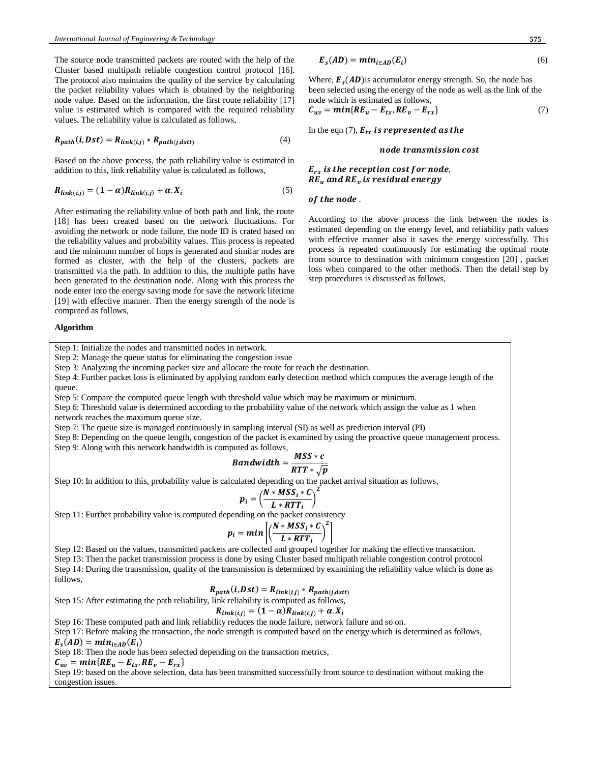The source node transmitted packets are routed with the help of the Cluster based multipath reliable congestion control protocol [16]. The protocol also maintains the quality of the service by calculating the packet reliability values which is obtained by the neighboring node value. Based on the information, the first route reliability [17] value is estimated which is compared with the required reliability values. The reliability value is calculated as follows,

$$
R_{path}(i, Dst) = R_{link(i,j)} * R_{path(j,dstt)} \tag{4}
$$

Based on the above process, the path reliability value is estimated in addition to this, link reliability value is calculated as follows,

$$
R_{link(i,j)} = (1 - \alpha)R_{link(i,j)} + \alpha.X_i
$$
\n<sup>(5)</sup>

After estimating the reliability value of both path and link, the route [18] has been created based on the network fluctuations. For avoiding the network or node failure, the node ID is crated based on the reliability values and probability values. This process is repeated and the minimum number of hops is generated and similar nodes are formed as cluster, with the help of the clusters, packets are transmitted via the path. In addition to this, the multiple paths have been generated to the destination node. Along with this process the node enter into the energy saving mode for save the network lifetime [19] with effective manner. Then the energy strength of the node is computed as follows,

#### **Algorithm**

Step 1: Initialize the nodes and transmitted nodes in network.

Step 2: Manage the queue status for eliminating the congestion issue

Step 3: Analyzing the incoming packet size and allocate the route for reach the destination.

Step 4: Further packet loss is eliminated by applying random early detection method which computes the average length of the queue.

Step 5: Compare the computed queue length with threshold value which may be maximum or minimum.

Step 6: Threshold value is determined according to the probability value of the network which assign the value as 1 when network reaches the maximum queue size.

Step 7: The queue size is managed continuously in sampling interval (SI) as well as prediction interval (PI)

Step 8: Depending on the queue length, congestion of the packet is examined by using the proactive queue management process. Step 9: Along with this network bandwidth is computed as follows,

$$
Bandwidth = \frac{MSS * c}{RTT * \sqrt{p}}
$$

Step 10: In addition to this, probability value is calculated depending on the packet arrival situation as follows,

$$
p_i = \left(\frac{N * MSS_i * C}{L * RTT_i}\right)^2
$$

Step 11: Further probability value is computed depending on the packet consistency

$$
p_i = min \left[ \left( \frac{N * MSS_i * C}{L * RTT_i} \right)^2 \right]
$$

Step 12: Based on the values, transmitted packets are collected and grouped together for making the effective transaction.

Step 13: Then the packet transmission process is done by using Cluster based multipath reliable congestion control protocol Step 14: During the transmission, quality of the transmission is determined by examining the reliability value which is done as follows,

$$
R_{path}(i, Dst) = R_{link(i,j)} * R_{path(j,dst)}
$$

Step 15: After estimating the path reliability, link reliability is computed as follows,

$$
R_{link(i,j)} = (1 - \alpha)R_{link(i,j)} + \alpha.X_i
$$

Step 16: These computed path and link reliability reduces the node failure, network failure and so on.

Step 17: Before making the transaction, the node strength is computed based on the energy which is determined as follows,  $E_s(AD) = min_{i \in AD}(E_i)$ 

Step 18: Then the node has been selected depending on the transaction metrics,

 $C_{uv} = min\{RE_u - E_{tx}, RE_v - E_{rx}\}$ 

Step 19: based on the above selection, data has been transmitted successfully from source to destination without making the congestion issues.

$$
E_s(AD) = min_{i \in AD}(E_i)
$$
 (6)

Where,  $E_s(AD)$  is accumulator energy strength. So, the node has been selected using the energy of the node as well as the link of the node which is estimated as follows,

$$
C_{uv} = min\{RE_u - E_{tx}, RE_v - E_{rx}\}\tag{7}
$$

In the eqn (7),  $E_{tx}$  is represented as the

#### node transmission cost

 $E_{rx}$  is the reception cost for node,  $RE_u$  and  $RE_v$  is residual energy

#### of the node.

According to the above process the link between the nodes is estimated depending on the energy level, and reliability path values with effective manner also it saves the energy successfully. This process is repeated continuously for estimating the optimal route from source to destination with minimum congestion [20] , packet loss when compared to the other methods. Then the detail step by step procedures is discussed as follows,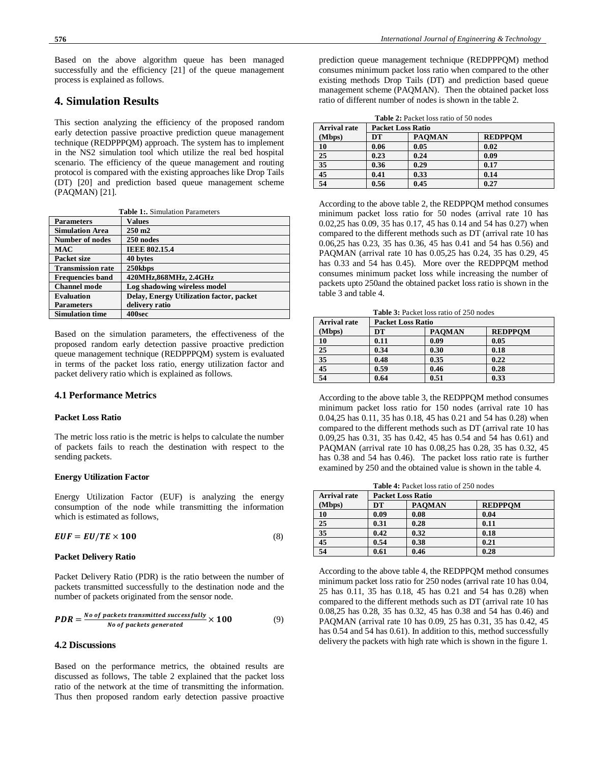Based on the above algorithm queue has been managed successfully and the efficiency [21] of the queue management process is explained as follows.

## **4. Simulation Results**

This section analyzing the efficiency of the proposed random early detection passive proactive prediction queue management technique (REDPPPQM) approach. The system has to implement in the NS2 simulation tool which utilize the real bed hospital scenario. The efficiency of the queue management and routing protocol is compared with the existing approaches like Drop Tails (DT) [20] and prediction based queue management scheme (PAQMAN) [21].

| Table 1: Simulation Parameters |                                          |  |  |  |
|--------------------------------|------------------------------------------|--|--|--|
| <b>Parameters</b>              | <b>Values</b>                            |  |  |  |
| <b>Simulation Area</b>         | $250 \text{ m}$                          |  |  |  |
| <b>Number of nodes</b>         | 250 nodes                                |  |  |  |
| <b>MAC</b>                     | <b>IEEE 802.15.4</b>                     |  |  |  |
| Packet size                    | 40 bytes                                 |  |  |  |
| <b>Transmission rate</b>       | 250kbps                                  |  |  |  |
| <b>Frequencies band</b>        | 420MHz,868MHz, 2.4GHz                    |  |  |  |
| <b>Channel mode</b>            | Log shadowing wireless model             |  |  |  |
| <b>Evaluation</b>              | Delay, Energy Utilization factor, packet |  |  |  |
| <b>Parameters</b>              | delivery ratio                           |  |  |  |
| <b>Simulation time</b>         | 400sec                                   |  |  |  |
|                                |                                          |  |  |  |

Based on the simulation parameters, the effectiveness of the proposed random early detection passive proactive prediction queue management technique (REDPPPQM) system is evaluated in terms of the packet loss ratio, energy utilization factor and packet delivery ratio which is explained as follows.

## **4.1 Performance Metrics**

## **Packet Loss Ratio**

The metric loss ratio is the metric is helps to calculate the number of packets fails to reach the destination with respect to the sending packets.

### **Energy Utilization Factor**

Energy Utilization Factor (EUF) is analyzing the energy consumption of the node while transmitting the information which is estimated as follows,

$$
EUF = EU/TE \times 100 \tag{8}
$$

#### **Packet Delivery Ratio**

Packet Delivery Ratio (PDR) is the ratio between the number of packets transmitted successfully to the destination node and the number of packets originated from the sensor node.

$$
PDR = \frac{No \text{ of packets transmitted successfully}}{No \text{ of packets generated}} \times 100 \tag{9}
$$

## **4.2 Discussions**

Based on the performance metrics, the obtained results are discussed as follows, The table 2 explained that the packet loss ratio of the network at the time of transmitting the information. Thus then proposed random early detection passive proactive prediction queue management technique (REDPPPQM) method consumes minimum packet loss ratio when compared to the other existing methods Drop Tails (DT) and prediction based queue management scheme (PAQMAN). Then the obtained packet loss ratio of different number of nodes is shown in the table 2.

| <b>Arrival rate</b> | <b>Packet Loss Ratio</b> |               |                |  |
|---------------------|--------------------------|---------------|----------------|--|
| (Mbps)              | DT                       | <b>PAOMAN</b> | <b>REDPPOM</b> |  |
| 10                  | 0.06                     | 0.05          | 0.02           |  |
| 25                  | 0.23                     | 0.24          | 0.09           |  |
| $\overline{35}$     | 0.36                     | 0.29          | 0.17           |  |
| 45                  | 0.41                     | 0.33          | 0.14           |  |
| 54                  | 0.56                     | 0.45          | 0.27           |  |

According to the above table 2, the REDPPQM method consumes minimum packet loss ratio for 50 nodes (arrival rate 10 has 0.02,25 has 0.09, 35 has 0.17, 45 has 0.14 and 54 has 0.27) when compared to the different methods such as DT (arrival rate 10 has 0.06,25 has 0.23, 35 has 0.36, 45 has 0.41 and 54 has 0.56) and PAQMAN (arrival rate 10 has 0.05,25 has 0.24, 35 has 0.29, 45 has 0.33 and 54 has 0.45). More over the REDPPQM method consumes minimum packet loss while increasing the number of packets upto 250and the obtained packet loss ratio is shown in the table 3 and table 4.

| <b>Table 3:</b> Packet loss ratio of 250 nodes |                          |               |                |  |  |
|------------------------------------------------|--------------------------|---------------|----------------|--|--|
| <b>Arrival rate</b>                            | <b>Packet Loss Ratio</b> |               |                |  |  |
| (Mbps)                                         | DT                       | <b>PAOMAN</b> | <b>REDPPOM</b> |  |  |
| 10                                             | 0.11                     | 0.09          | 0.05           |  |  |
| 25                                             | 0.34                     | 0.30          | 0.18           |  |  |
| $\overline{35}$                                | 0.48                     | 0.35          | 0.22           |  |  |
| 45                                             | 0.59                     | 0.46          | 0.28           |  |  |
| 54                                             | 0.64                     | 0.51          | 0.33           |  |  |

According to the above table 3, the REDPPQM method consumes minimum packet loss ratio for 150 nodes (arrival rate 10 has 0.04,25 has 0.11, 35 has 0.18, 45 has 0.21 and 54 has 0.28) when compared to the different methods such as DT (arrival rate 10 has 0.09,25 has 0.31, 35 has 0.42, 45 has 0.54 and 54 has 0.61) and PAQMAN (arrival rate 10 has 0.08,25 has 0.28, 35 has 0.32, 45 has 0.38 and 54 has 0.46). The packet loss ratio rate is further examined by 250 and the obtained value is shown in the table 4.

**Table 4:** Packet loss ratio of 250 nodes

| <b>Arrival rate</b> | <b>Packet Loss Ratio</b> |               |                |  |
|---------------------|--------------------------|---------------|----------------|--|
| (Mbps)              | DT                       | <b>PAOMAN</b> | <b>REDPPOM</b> |  |
| 10                  | 0.09                     | 0.08          | 0.04           |  |
| 25                  | 0.31                     | 0.28          | 0.11           |  |
| 35                  | 0.42                     | 0.32          | 0.18           |  |
| 45                  | 0.54                     | 0.38          | 0.21           |  |
| 54                  | 0.61                     | 0.46          | 0.28           |  |

According to the above table 4, the REDPPQM method consumes minimum packet loss ratio for 250 nodes (arrival rate 10 has 0.04, 25 has 0.11, 35 has 0.18, 45 has 0.21 and 54 has 0.28) when compared to the different methods such as DT (arrival rate 10 has 0.08,25 has 0.28, 35 has 0.32, 45 has 0.38 and 54 has 0.46) and PAQMAN (arrival rate 10 has 0.09, 25 has 0.31, 35 has 0.42, 45 has 0.54 and 54 has 0.61). In addition to this, method successfully delivery the packets with high rate which is shown in the figure 1.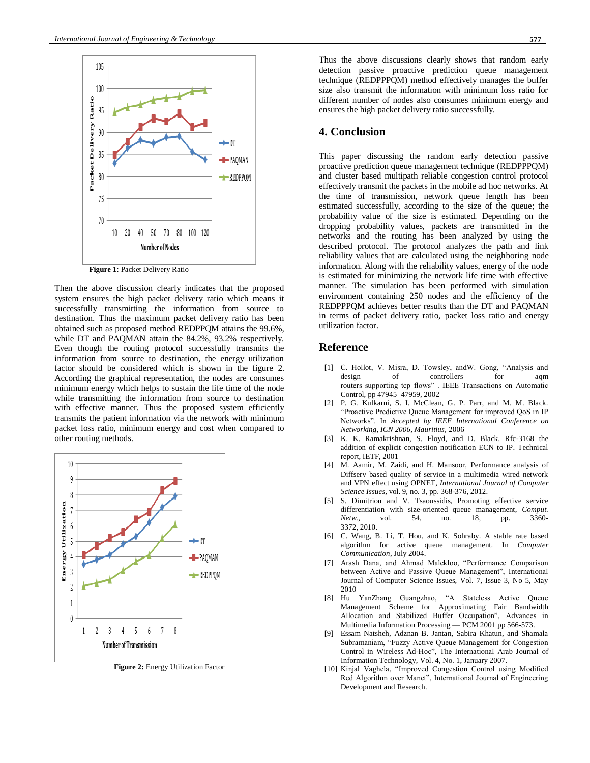

**Figure 1**: Packet Delivery Ratio

Then the above discussion clearly indicates that the proposed system ensures the high packet delivery ratio which means it successfully transmitting the information from source to destination. Thus the maximum packet delivery ratio has been obtained such as proposed method REDPPQM attains the 99.6%, while DT and PAQMAN attain the 84.2%, 93.2% respectively. Even though the routing protocol successfully transmits the information from source to destination, the energy utilization factor should be considered which is shown in the figure 2. According the graphical representation, the nodes are consumes minimum energy which helps to sustain the life time of the node while transmitting the information from source to destination with effective manner. Thus the proposed system efficiently transmits the patient information via the network with minimum packet loss ratio, minimum energy and cost when compared to other routing methods.



**Figure 2:** Energy Utilization Factor

## **4. Conclusion**

This paper discussing the random early detection passive proactive prediction queue management technique (REDPPPQM) and cluster based multipath reliable congestion control protocol effectively transmit the packets in the mobile ad hoc networks. At the time of transmission, network queue length has been estimated successfully, according to the size of the queue; the probability value of the size is estimated. Depending on the dropping probability values, packets are transmitted in the networks and the routing has been analyzed by using the described protocol. The protocol analyzes the path and link reliability values that are calculated using the neighboring node information. Along with the reliability values, energy of the node is estimated for minimizing the network life time with effective manner. The simulation has been performed with simulation environment containing 250 nodes and the efficiency of the REDPPPQM achieves better results than the DT and PAQMAN in terms of packet delivery ratio, packet loss ratio and energy utilization factor.

## **Reference**

- [1] C. Hollot, V. Misra, D. Towsley, andW. Gong, "Analysis and design of controllers for aqm routers supporting tcp flows" . IEEE Transactions on Automatic Control, pp 47945–47959, 2002
- [2] P. G. Kulkarni, S. I. McClean, G. P. Parr, and M. M. Black. "Proactive Predictive Queue Management for improved QoS in IP Networks". In *Accepted by IEEE International Conference on Networking, ICN 2006, Mauritius*, 2006
- [3] K. K. Ramakrishnan, S. Floyd, and D. Black. Rfc-3168 the addition of explicit congestion notification ECN to IP. Technical report, IETF, 2001
- [4] M. Aamir, M. Zaidi, and H. Mansoor, Performance analysis of Diffserv based quality of service in a multimedia wired network and VPN effect using OPNET, *International Journal of Computer Science Issues,* vol. 9, no. 3, pp. 368-376, 2012.
- [5] S. Dimitriou and V. Tsaoussidis, Promoting effective service differentiation with size-oriented queue management, *Comput. Netw.,* vol. 54, no. 18, pp. 3360- 3372, 2010.
- [6] C. Wang, B. Li, T. Hou, and K. Sohraby. A stable rate based algorithm for active queue management. In *Computer Communication*, July 2004.
- [7] Arash Dana, and Ahmad Malekloo, "Performance Comparison between Active and Passive Queue Management", International Journal of Computer Science Issues, Vol. 7, Issue 3, No 5, May 2010
- [8] Hu YanZhang Guangzhao, "A Stateless Active Queue Management Scheme for Approximating Fair Bandwidth Allocation and Stabilized Buffer Occupation", Advances in Multimedia Information Processing — PCM 2001 pp 566-573.
- [9] Essam Natsheh, Adznan B. Jantan, Sabira Khatun, and Shamala Subramaniam, "Fuzzy Active Queue Management for Congestion Control in Wireless Ad-Hoc", The International Arab Journal of Information Technology, Vol. 4, No. 1, January 2007.
- [10] Kinjal Vaghela, "Improved Congestion Control using Modified Red Algorithm over Manet", International Journal of Engineering Development and Research.